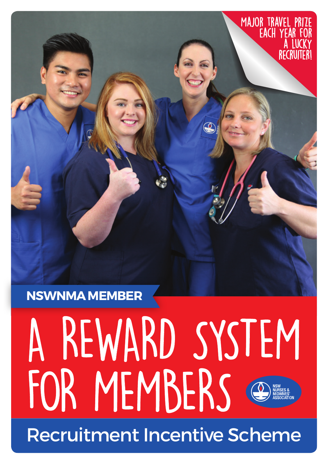MAJOR TRA each year for a lucky recruiter!

**NSWNMA MEMBER**

# A REWARD SYSTEM FOR MEMBERS @ Recruitment Incentive Scheme